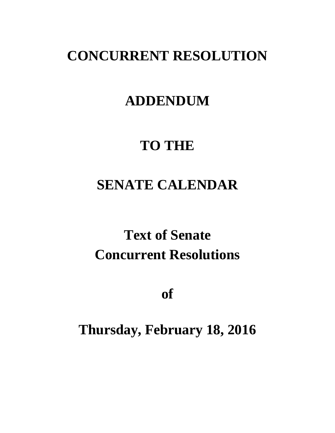## **CONCURRENT RESOLUTION**

# **ADDENDUM**

# **TO THE**

# **SENATE CALENDAR**

# **Text of Senate Concurrent Resolutions**

**of**

# **Thursday, February 18, 2016**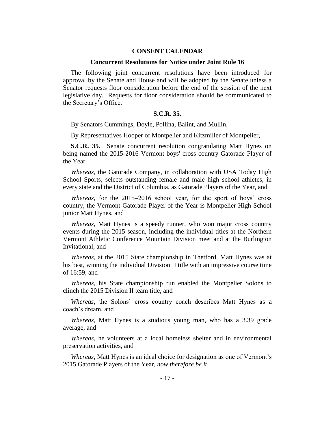#### **CONSENT CALENDAR**

#### **Concurrent Resolutions for Notice under Joint Rule 16**

The following joint concurrent resolutions have been introduced for approval by the Senate and House and will be adopted by the Senate unless a Senator requests floor consideration before the end of the session of the next legislative day. Requests for floor consideration should be communicated to the Secretary's Office.

#### **S.C.R. 35.**

By Senators Cummings, Doyle, Pollina, Balint, and Mullin,

By Representatives Hooper of Montpelier and Kitzmiller of Montpelier,

**S.C.R. 35.** Senate concurrent resolution congratulating Matt Hynes on being named the 2015-2016 Vermont boys' cross country Gatorade Player of the Year.

*Whereas*, the Gatorade Company, in collaboration with USA Today High School Sports, selects outstanding female and male high school athletes, in every state and the District of Columbia, as Gatorade Players of the Year, and

*Whereas*, for the 2015–2016 school year, for the sport of boys' cross country, the Vermont Gatorade Player of the Year is Montpelier High School junior Matt Hynes, and

*Whereas*, Matt Hynes is a speedy runner, who won major cross country events during the 2015 season, including the individual titles at the Northern Vermont Athletic Conference Mountain Division meet and at the Burlington Invitational, and

*Whereas*, at the 2015 State championship in Thetford, Matt Hynes was at his best, winning the individual Division II title with an impressive course time of 16:59, and

*Whereas*, his State championship run enabled the Montpelier Solons to clinch the 2015 Division II team title, and

*Whereas*, the Solons' cross country coach describes Matt Hynes as a coach's dream, and

*Whereas*, Matt Hynes is a studious young man, who has a 3.39 grade average, and

*Whereas*, he volunteers at a local homeless shelter and in environmental preservation activities, and

*Whereas*, Matt Hynes is an ideal choice for designation as one of Vermont's 2015 Gatorade Players of the Year, *now therefore be it*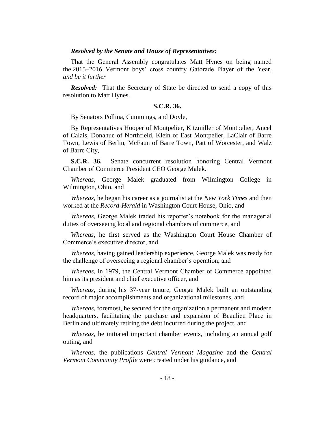#### *Resolved by the Senate and House of Representatives:*

That the General Assembly congratulates Matt Hynes on being named the 2015–2016 Vermont boys' cross country Gatorade Player of the Year, *and be it further* 

*Resolved:* That the Secretary of State be directed to send a copy of this resolution to Matt Hynes.

#### **S.C.R. 36.**

By Senators Pollina, Cummings, and Doyle,

By Representatives Hooper of Montpelier, Kitzmiller of Montpelier, Ancel of Calais, Donahue of Northfield, Klein of East Montpelier, LaClair of Barre Town, Lewis of Berlin, McFaun of Barre Town, Patt of Worcester, and Walz of Barre City,

**S.C.R. 36.** Senate concurrent resolution honoring Central Vermont Chamber of Commerce President CEO George Malek.

*Whereas*, George Malek graduated from Wilmington College in Wilmington, Ohio, and

*Whereas*, he began his career as a journalist at the *New York Times* and then worked at the *Record-Herald* in Washington Court House, Ohio, and

*Whereas*, George Malek traded his reporter's notebook for the managerial duties of overseeing local and regional chambers of commerce, and

*Whereas*, he first served as the Washington Court House Chamber of Commerce's executive director, and

*Whereas*, having gained leadership experience, George Malek was ready for the challenge of overseeing a regional chamber's operation, and

*Whereas*, in 1979, the Central Vermont Chamber of Commerce appointed him as its president and chief executive officer, and

*Whereas*, during his 37-year tenure, George Malek built an outstanding record of major accomplishments and organizational milestones, and

*Whereas*, foremost, he secured for the organization a permanent and modern headquarters, facilitating the purchase and expansion of Beaulieu Place in Berlin and ultimately retiring the debt incurred during the project, and

*Whereas*, he initiated important chamber events, including an annual golf outing, and

*Whereas*, the publications *Central Vermont Magazine* and the *Central Vermont Community Profile* were created under his guidance, and